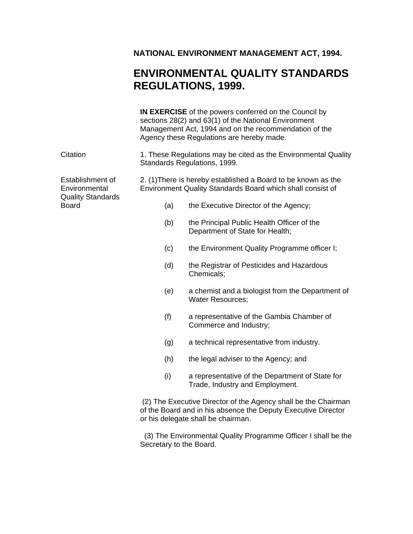#### **NATIONAL ENVIRONMENT MANAGEMENT ACT, 1994.**

### **ENVIRONMENTAL QUALITY STANDARDS REGULATIONS, 1999.**

|                                          | IN EXERCISE of the powers conferred on the Council by<br>sections 28(2) and 63(1) of the National Environment<br>Management Act, 1994 and on the recommendation of the<br>Agency these Regulations are hereby made. |                                                                                                                                                                       |  |  |  |
|------------------------------------------|---------------------------------------------------------------------------------------------------------------------------------------------------------------------------------------------------------------------|-----------------------------------------------------------------------------------------------------------------------------------------------------------------------|--|--|--|
| Citation                                 | 1. These Regulations may be cited as the Environmental Quality<br>Standards Regulations, 1999.                                                                                                                      |                                                                                                                                                                       |  |  |  |
| Establishment of<br>Environmental        | 2. (1) There is hereby established a Board to be known as the<br>Environment Quality Standards Board which shall consist of                                                                                         |                                                                                                                                                                       |  |  |  |
| <b>Quality Standards</b><br><b>Board</b> | (a)                                                                                                                                                                                                                 | the Executive Director of the Agency;                                                                                                                                 |  |  |  |
|                                          | (b)                                                                                                                                                                                                                 | the Principal Public Health Officer of the<br>Department of State for Health;                                                                                         |  |  |  |
|                                          | (c)                                                                                                                                                                                                                 | the Environment Quality Programme officer I;                                                                                                                          |  |  |  |
|                                          | (d)                                                                                                                                                                                                                 | the Registrar of Pesticides and Hazardous<br>Chemicals;                                                                                                               |  |  |  |
|                                          | (e)                                                                                                                                                                                                                 | a chemist and a biologist from the Department of<br><b>Water Resources;</b>                                                                                           |  |  |  |
|                                          | (f)                                                                                                                                                                                                                 | a representative of the Gambia Chamber of<br>Commerce and Industry;                                                                                                   |  |  |  |
|                                          | (g)                                                                                                                                                                                                                 | a technical representative from industry.                                                                                                                             |  |  |  |
|                                          | (h)                                                                                                                                                                                                                 | the legal adviser to the Agency; and                                                                                                                                  |  |  |  |
|                                          | (i)                                                                                                                                                                                                                 | a representative of the Department of State for<br>Trade, Industry and Employment.                                                                                    |  |  |  |
|                                          |                                                                                                                                                                                                                     | (2) The Executive Director of the Agency shall be the Chairman<br>of the Board and in his absence the Deputy Executive Director<br>or his delegate shall be chairman. |  |  |  |
|                                          |                                                                                                                                                                                                                     |                                                                                                                                                                       |  |  |  |

 (3) The Environmental Quality Programme Officer I shall be the Secretary to the Board.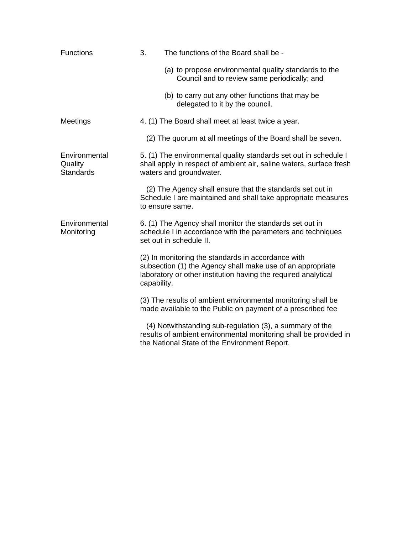| Functions                                    | 3.<br>The functions of the Board shall be - |                                                                                                                                                                                    |  |
|----------------------------------------------|---------------------------------------------|------------------------------------------------------------------------------------------------------------------------------------------------------------------------------------|--|
|                                              |                                             | (a) to propose environmental quality standards to the<br>Council and to review same periodically; and                                                                              |  |
|                                              |                                             | (b) to carry out any other functions that may be<br>delegated to it by the council.                                                                                                |  |
| Meetings                                     |                                             | 4. (1) The Board shall meet at least twice a year.                                                                                                                                 |  |
|                                              |                                             | (2) The quorum at all meetings of the Board shall be seven.                                                                                                                        |  |
| Environmental<br>Quality<br><b>Standards</b> |                                             | 5. (1) The environmental quality standards set out in schedule I<br>shall apply in respect of ambient air, saline waters, surface fresh<br>waters and groundwater.                 |  |
|                                              |                                             | (2) The Agency shall ensure that the standards set out in<br>Schedule I are maintained and shall take appropriate measures<br>to ensure same.                                      |  |
| Environmental<br>Monitoring                  |                                             | 6. (1) The Agency shall monitor the standards set out in<br>schedule I in accordance with the parameters and techniques<br>set out in schedule II.                                 |  |
|                                              | capability.                                 | (2) In monitoring the standards in accordance with<br>subsection (1) the Agency shall make use of an appropriate<br>laboratory or other institution having the required analytical |  |
|                                              |                                             | (3) The results of ambient environmental monitoring shall be<br>made available to the Public on payment of a prescribed fee                                                        |  |
|                                              |                                             | (4) Notwithstanding sub-regulation (3), a summary of the<br>results of ambient environmental monitoring shall be provided in<br>the National State of the Environment Report.      |  |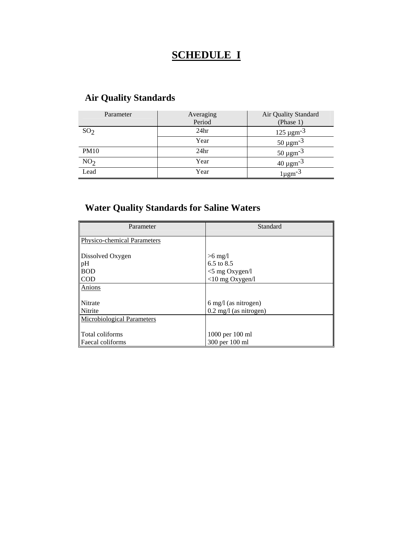# **SCHEDULE I**

| Parameter       | Averaging<br>Period | Air Quality Standard<br>(Phase 1) |
|-----------------|---------------------|-----------------------------------|
| SO <sub>2</sub> | 24 <sub>hr</sub>    | $125 \mu$ gm <sup>-3</sup>        |
|                 | Year                | $50 \,\mathrm{\mu gm^{-3}}$       |
| <b>PM10</b>     | 24 <sub>hr</sub>    | $50 \,\mathrm{\mu gm^{-3}}$       |
| NO <sub>2</sub> | Year                | $40 \mu \text{gm}^{-3}$           |
| Lead            | Year                | $l\mu$ gm <sup>-3</sup>           |

# **Air Quality Standards**

### **Water Quality Standards for Saline Waters**

| Parameter                            | Standard                                                 |  |  |
|--------------------------------------|----------------------------------------------------------|--|--|
| <b>Physico-chemical Parameters</b>   |                                                          |  |  |
| Dissolved Oxygen<br>pH<br><b>BOD</b> | $>6$ mg/l<br>6.5 to $8.5$<br>$<$ 5 mg Oxygen/l           |  |  |
| <b>COD</b>                           | $<$ 10 mg Oxygen/l                                       |  |  |
| Anions                               |                                                          |  |  |
| Nitrate<br>Nitrite                   | 6 mg/l (as nitrogen)<br>$0.2 \text{ mg/l}$ (as nitrogen) |  |  |
| <b>Microbiological Parameters</b>    |                                                          |  |  |
| Total coliforms<br>Faecal coliforms  | 1000 per 100 ml<br>300 per 100 ml                        |  |  |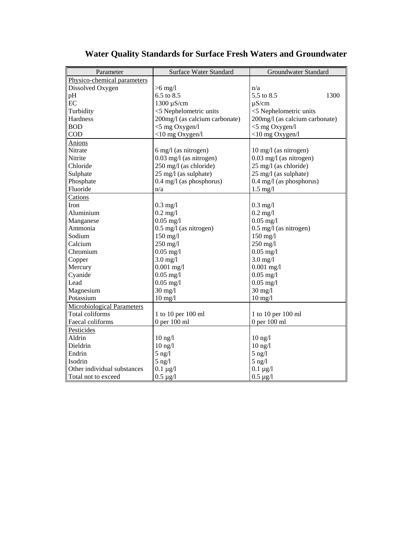| Parameter                         | <b>Surface Water Standard</b>  | Groundwater Standard           |  |  |
|-----------------------------------|--------------------------------|--------------------------------|--|--|
| Physico-chemical parameters       |                                |                                |  |  |
| Dissolved Oxygen                  | $>6$ mg/l                      | n/a                            |  |  |
| pH                                | 6.5 to 8.5                     | 5.5 to 8.5<br>1300             |  |  |
| EC                                | 1300 µS/cm                     | $\mu$ S/cm                     |  |  |
| Turbidity                         | <5 Nephelometric units         | <5 Nephelometric units         |  |  |
| Hardness                          | 200mg/l (as calcium carbonate) | 200mg/l (as calcium carbonate) |  |  |
| <b>BOD</b>                        | $<$ 5 mg Oxygen/l              | $<$ 5 mg Oxygen/l              |  |  |
| <b>COD</b>                        | $<$ 10 mg Oxygen/l             | $<$ 10 mg Oxygen/l             |  |  |
| Anions                            |                                |                                |  |  |
| Nitrate                           | 6 mg/l (as nitrogen)           | 10 mg/l (as nitrogen)          |  |  |
| Nitrite                           | $0.03$ mg/l (as nitrogen)      | 0.03 mg/l (as nitrogen)        |  |  |
| Chloride                          | 250 mg/l (as chloride)         | 25 mg/l (as chloride)          |  |  |
| Sulphate                          | 25 mg/l (as sulphate)          | 25 mg/l (as sulphate)          |  |  |
| Phosphate                         | $0.4$ mg/l (as phosphorus)     | $0.4$ mg/l (as phosphorus)     |  |  |
| Fluoride                          | n/a                            | $1.5$ mg/l                     |  |  |
| Cations                           |                                |                                |  |  |
| Iron                              | $0.3$ mg/l                     | $0.3$ mg/l                     |  |  |
| Aluminium                         | $0.2$ mg/l                     | $0.2$ mg/l                     |  |  |
| Manganese                         | $0.05$ mg/l                    | $0.05$ mg/l                    |  |  |
| Ammonia                           | $0.5$ mg/l (as nitrogen)       | $0.5$ mg/l (as nitrogen)       |  |  |
| Sodium                            | $150$ mg/l                     | $150$ mg/l                     |  |  |
| Calcium                           | $250$ mg/l                     | $250$ mg/l                     |  |  |
| Chromium                          | $0.05$ mg/l                    | $0.05$ mg/l                    |  |  |
| Copper                            | $3.0$ mg/l                     | $3.0$ mg/l                     |  |  |
| Mercury                           | $0.001$ mg/l                   | $0.001$ mg/l                   |  |  |
| Cyanide                           | $0.05$ mg/l                    | $0.05$ mg/l                    |  |  |
| Lead                              | $0.05$ mg/l                    | $0.05$ mg/l                    |  |  |
| Magnesium                         | $30$ mg/l                      | $30 \text{ mg}/l$              |  |  |
| Potassium                         | $10$ mg/l                      | $10$ mg/l                      |  |  |
| <b>Microbiological Parameters</b> |                                |                                |  |  |
| Total coliforms                   | 1 to 10 per 100 ml             | 1 to 10 per 100 ml             |  |  |
| Faecal coliforms                  | 0 per 100 ml                   | 0 per 100 ml                   |  |  |
| Pesticides                        |                                |                                |  |  |
| Aldrin                            | $10 \text{ ng}/l$              | $10 \text{ ng}/l$              |  |  |
| Dieldrin                          | $10$ ng/ $1$                   | $10$ ng/ $1$                   |  |  |
| Endrin                            | $5$ ng/l                       | $5$ ng/l                       |  |  |
| Isodrin                           | $5$ ng/l                       | $5$ ng/l                       |  |  |
| Other individual substances       | $0.1 \mu g/l$                  | $0.1 \mu g/l$                  |  |  |
| Total not to exceed               | $0.5 \mu g/l$                  | $0.5 \mu g/l$                  |  |  |

# **Water Quality Standards for Surface Fresh Waters and Groundwater**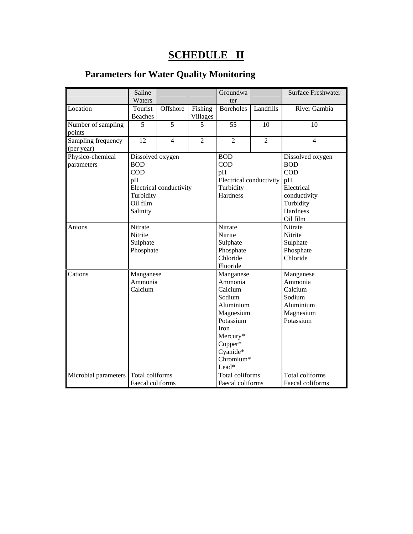# **SCHEDULE II**

# **Parameters for Water Quality Monitoring**

|                                  | Saline<br>Waters                                                                                                   |                |                                                                                                                                                          | Groundwa<br>ter                                                                    |                                                                                  | Surface Freshwater                                                                                                    |
|----------------------------------|--------------------------------------------------------------------------------------------------------------------|----------------|----------------------------------------------------------------------------------------------------------------------------------------------------------|------------------------------------------------------------------------------------|----------------------------------------------------------------------------------|-----------------------------------------------------------------------------------------------------------------------|
| Location                         | Tourist<br><b>Beaches</b>                                                                                          | Offshore       | Fishing<br>Villages                                                                                                                                      | Boreholes                                                                          | Landfills                                                                        | River Gambia                                                                                                          |
| Number of sampling<br>points     | 5                                                                                                                  | 5              | 5                                                                                                                                                        | 55                                                                                 | 10                                                                               | 10                                                                                                                    |
| Sampling frequency<br>(per year) | 12                                                                                                                 | $\overline{4}$ | $\overline{2}$                                                                                                                                           | $\overline{2}$                                                                     | $\overline{2}$                                                                   | $\overline{4}$                                                                                                        |
| Physico-chemical<br>parameters   | Dissolved oxygen<br><b>BOD</b><br><b>COD</b><br>pH<br>Electrical conductivity<br>Turbidity<br>Oil film<br>Salinity |                |                                                                                                                                                          | <b>BOD</b><br>COD<br>pH<br>Electrical conductivity<br>Turbidity<br><b>Hardness</b> |                                                                                  | Dissolved oxygen<br><b>BOD</b><br><b>COD</b><br>pH<br>Electrical<br>conductivity<br>Turbidity<br>Hardness<br>Oil film |
| Anions                           | Nitrate<br>Nitrite<br>Sulphate<br>Phosphate                                                                        |                | Nitrate<br>Nitrite<br>Sulphate<br>Phosphate<br>Chloride<br>Fluoride                                                                                      |                                                                                    | Nitrate<br>Nitrite<br>Sulphate<br>Phosphate<br>Chloride                          |                                                                                                                       |
| Cations                          | Manganese<br>Ammonia<br>Calcium                                                                                    |                | Manganese<br>Ammonia<br>Calcium<br>Sodium<br>Aluminium<br>Magnesium<br>Potassium<br><b>Iron</b><br>Mercury*<br>Copper*<br>Cyanide*<br>Chromium*<br>Lead* |                                                                                    | Manganese<br>Ammonia<br>Calcium<br>Sodium<br>Aluminium<br>Magnesium<br>Potassium |                                                                                                                       |
| Microbial parameters             | Total coliforms<br>Faecal coliforms                                                                                |                |                                                                                                                                                          | Total coliforms<br>Faecal coliforms                                                |                                                                                  | Total coliforms<br>Faecal coliforms                                                                                   |